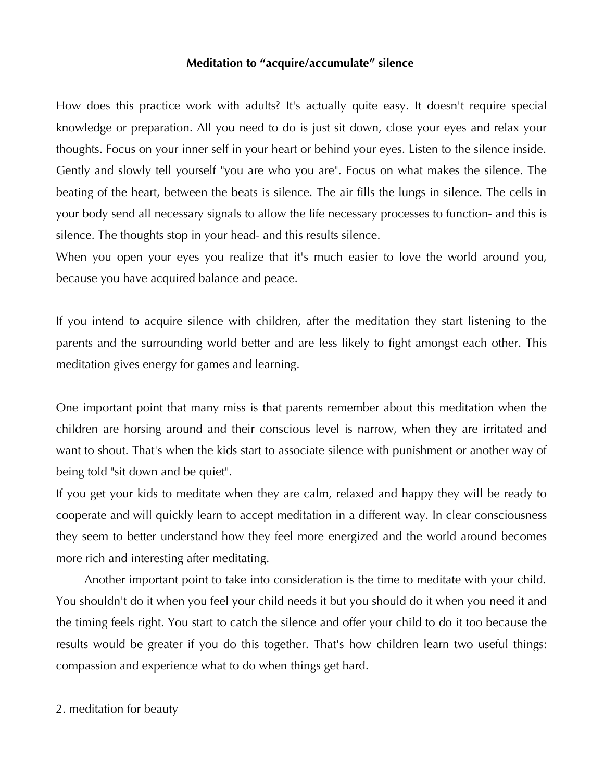## **Meditation to "acquire/accumulate" silence**

How does this practice work with adults? It's actually quite easy. It doesn't require special knowledge or preparation. All you need to do is just sit down, close your eyes and relax your thoughts. Focus on your inner self in your heart or behind your eyes. Listen to the silence inside. Gently and slowly tell yourself "you are who you are". Focus on what makes the silence. The beating of the heart, between the beats is silence. The air fills the lungs in silence. The cells in your body send all necessary signals to allow the life necessary processes to function- and this is silence. The thoughts stop in your head- and this results silence.

When you open your eyes you realize that it's much easier to love the world around you, because you have acquired balance and peace.

If you intend to acquire silence with children, after the meditation they start listening to the parents and the surrounding world better and are less likely to fight amongst each other. This meditation gives energy for games and learning.

One important point that many miss is that parents remember about this meditation when the children are horsing around and their conscious level is narrow, when they are irritated and want to shout. That's when the kids start to associate silence with punishment or another way of being told "sit down and be quiet".

If you get your kids to meditate when they are calm, relaxed and happy they will be ready to cooperate and will quickly learn to accept meditation in a different way. In clear consciousness they seem to better understand how they feel more energized and the world around becomes more rich and interesting after meditating.

 Another important point to take into consideration is the time to meditate with your child. You shouldn't do it when you feel your child needs it but you should do it when you need it and the timing feels right. You start to catch the silence and offer your child to do it too because the results would be greater if you do this together. That's how children learn two useful things: compassion and experience what to do when things get hard.

2. meditation for beauty